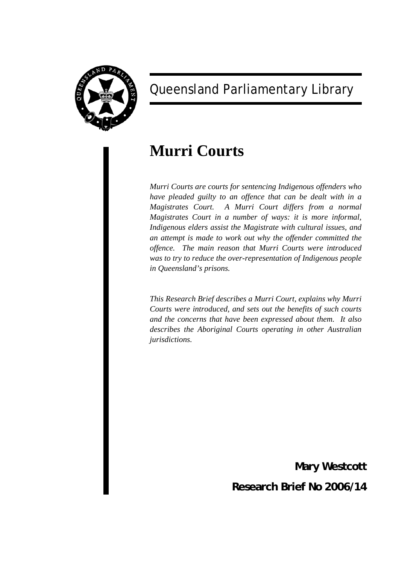

# Queensland Parliamentary Library

# **Murri Courts**

*Murri Courts are courts for sentencing Indigenous offenders who have pleaded guilty to an offence that can be dealt with in a Magistrates Court. A Murri Court differs from a normal Magistrates Court in a number of ways: it is more informal, Indigenous elders assist the Magistrate with cultural issues, and an attempt is made to work out why the offender committed the offence. The main reason that Murri Courts were introduced was to try to reduce the over-representation of Indigenous people in Queensland's prisons.* 

*This Research Brief describes a Murri Court, explains why Murri Courts were introduced, and sets out the benefits of such courts and the concerns that have been expressed about them. It also describes the Aboriginal Courts operating in other Australian jurisdictions.* 

**Mary Westcott**

**Research Brief No 2006/14**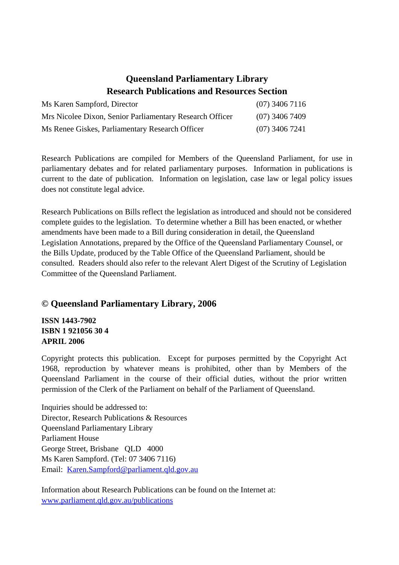## **Queensland Parliamentary Library Research Publications and Resources Section**

| Ms Karen Sampford, Director                              | $(07)$ 3406 7116 |
|----------------------------------------------------------|------------------|
| Mrs Nicolee Dixon, Senior Parliamentary Research Officer | $(07)$ 3406 7409 |
| Ms Renee Giskes, Parliamentary Research Officer          | $(07)$ 3406 7241 |

Research Publications are compiled for Members of the Queensland Parliament, for use in parliamentary debates and for related parliamentary purposes. Information in publications is current to the date of publication. Information on legislation, case law or legal policy issues does not constitute legal advice.

Research Publications on Bills reflect the legislation as introduced and should not be considered complete guides to the legislation. To determine whether a Bill has been enacted, or whether amendments have been made to a Bill during consideration in detail, the Queensland Legislation Annotations, prepared by the Office of the Queensland Parliamentary Counsel, or the Bills Update, produced by the Table Office of the Queensland Parliament, should be consulted. Readers should also refer to the relevant Alert Digest of the Scrutiny of Legislation Committee of the Queensland Parliament.

## **© Queensland Parliamentary Library, 2006**

**ISSN 1443-7902 ISBN 1 921056 30 4 APRIL 2006** 

Copyright protects this publication. Except for purposes permitted by the Copyright Act 1968, reproduction by whatever means is prohibited, other than by Members of the Queensland Parliament in the course of their official duties, without the prior written permission of the Clerk of the Parliament on behalf of the Parliament of Queensland.

Inquiries should be addressed to: Director, Research Publications & Resources Queensland Parliamentary Library Parliament House George Street, Brisbane QLD 4000 Ms Karen Sampford. (Tel: 07 3406 7116) Email: [Karen.Sampford@parliament.qld.gov.au](mailto:Karen.Sampford@parliament.qld.gov.au)

Information about Research Publications can be found on the Internet at: [www.parliament.qld.gov.au/publications](http://www.parliament.qld.gov.au/publications)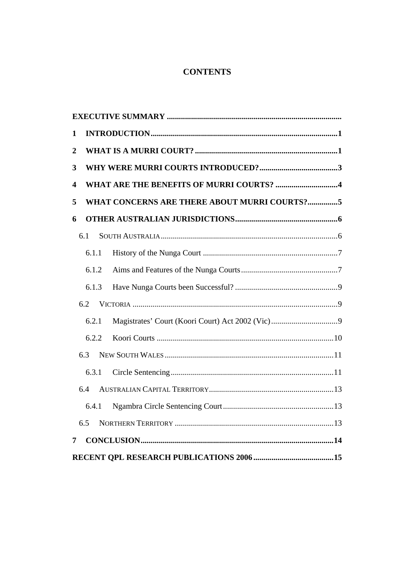## **CONTENTS**

| 1              |       |                                              |  |  |  |
|----------------|-------|----------------------------------------------|--|--|--|
| $\overline{2}$ |       |                                              |  |  |  |
| 3              |       |                                              |  |  |  |
| 4              |       | WHAT ARE THE BENEFITS OF MURRI COURTS? 4     |  |  |  |
| 5              |       | WHAT CONCERNS ARE THERE ABOUT MURRI COURTS?5 |  |  |  |
| 6              |       |                                              |  |  |  |
|                | 6.1   |                                              |  |  |  |
|                | 6.1.1 |                                              |  |  |  |
|                | 6.1.2 |                                              |  |  |  |
|                | 6.1.3 |                                              |  |  |  |
|                | 6.2   |                                              |  |  |  |
|                | 6.2.1 |                                              |  |  |  |
|                | 6.2.2 |                                              |  |  |  |
|                | 6.3   |                                              |  |  |  |
|                | 6.3.1 |                                              |  |  |  |
|                | 6.4   |                                              |  |  |  |
|                | 6.4.1 |                                              |  |  |  |
|                | 6.5   |                                              |  |  |  |
| 7              |       |                                              |  |  |  |
|                |       |                                              |  |  |  |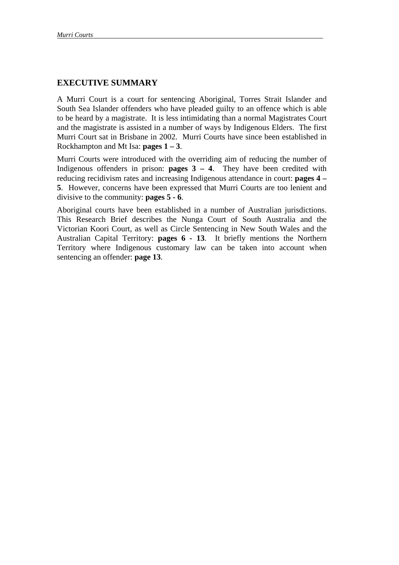## **EXECUTIVE SUMMARY**

A Murri Court is a court for sentencing Aboriginal, Torres Strait Islander and South Sea Islander offenders who have pleaded guilty to an offence which is able to be heard by a magistrate. It is less intimidating than a normal Magistrates Court and the magistrate is assisted in a number of ways by Indigenous Elders. The first Murri Court sat in Brisbane in 2002. Murri Courts have since been established in Rockhampton and Mt Isa: **pages 1 – 3**.

Murri Courts were introduced with the overriding aim of reducing the number of Indigenous offenders in prison: **pages**  $3 - 4$ . They have been credited with reducing recidivism rates and increasing Indigenous attendance in court: **pages 4 – 5**. However, concerns have been expressed that Murri Courts are too lenient and divisive to the community: **pages 5 - 6**.

Aboriginal courts have been established in a number of Australian jurisdictions. This Research Brief describes the Nunga Court of South Australia and the Victorian Koori Court, as well as Circle Sentencing in New South Wales and the Australian Capital Territory: **pages 6 - 13**. It briefly mentions the Northern Territory where Indigenous customary law can be taken into account when sentencing an offender: **page 13**.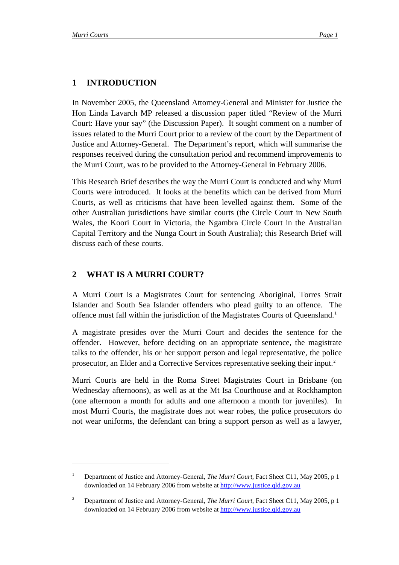$\overline{a}$ 

## <span id="page-4-0"></span>**1 INTRODUCTION**

In November 2005, the Queensland Attorney-General and Minister for Justice the Hon Linda Lavarch MP released a discussion paper titled "Review of the Murri Court: Have your say" (the Discussion Paper). It sought comment on a number of issues related to the Murri Court prior to a review of the court by the Department of Justice and Attorney-General. The Department's report, which will summarise the responses received during the consultation period and recommend improvements to the Murri Court, was to be provided to the Attorney-General in February 2006.

This Research Brief describes the way the Murri Court is conducted and why Murri Courts were introduced. It looks at the benefits which can be derived from Murri Courts, as well as criticisms that have been levelled against them. Some of the other Australian jurisdictions have similar courts (the Circle Court in New South Wales, the Koori Court in Victoria, the Ngambra Circle Court in the Australian Capital Territory and the Nunga Court in South Australia); this Research Brief will discuss each of these courts.

## **2 WHAT IS A MURRI COURT?**

A Murri Court is a Magistrates Court for sentencing Aboriginal, Torres Strait Islander and South Sea Islander offenders who plead guilty to an offence. The offence must fall within the jurisdiction of the Magistrates Courts of Queensland.[1](#page-4-1)

A magistrate presides over the Murri Court and decides the sentence for the offender. However, before deciding on an appropriate sentence, the magistrate talks to the offender, his or her support person and legal representative, the police prosecutor, an Elder and a Corrective Services representative seeking their input.<sup>[2](#page-4-2)</sup>

Murri Courts are held in the Roma Street Magistrates Court in Brisbane (on Wednesday afternoons), as well as at the Mt Isa Courthouse and at Rockhampton (one afternoon a month for adults and one afternoon a month for juveniles). In most Murri Courts, the magistrate does not wear robes, the police prosecutors do not wear uniforms, the defendant can bring a support person as well as a lawyer,

<span id="page-4-1"></span><sup>1</sup> Department of Justice and Attorney-General, *The Murri Court*, Fact Sheet C11, May 2005, p 1 downloaded on 14 February 2006 from website at [http://www.justice.qld.gov.au](http://www.justice.qld.gov.au/)

<span id="page-4-2"></span><sup>2</sup> Department of Justice and Attorney-General, *The Murri Court*, Fact Sheet C11, May 2005, p 1 downloaded on 14 February 2006 from website at [http://www.justice.qld.gov.au](http://www.justice.qld.gov.au/)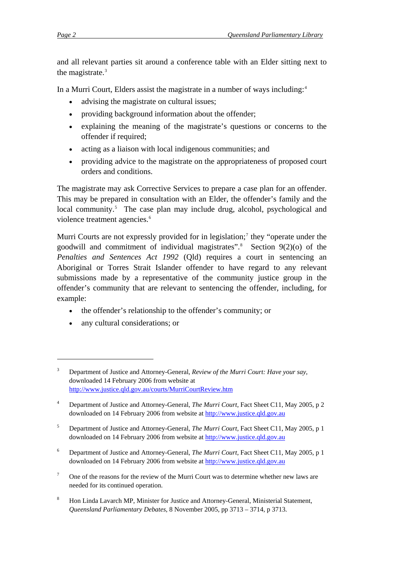and all relevant parties sit around a conference table with an Elder sitting next to the magistrate. $3$ 

In a Murri Court, Elders assist the magistrate in a number of ways including:<sup>[4](#page-5-1)</sup>

- advising the magistrate on cultural issues:
- providing background information about the offender;
- explaining the meaning of the magistrate's questions or concerns to the offender if required;
- acting as a liaison with local indigenous communities; and
- providing advice to the magistrate on the appropriateness of proposed court orders and conditions.

The magistrate may ask Corrective Services to prepare a case plan for an offender. This may be prepared in consultation with an Elder, the offender's family and the local community.<sup>[5](#page-5-2)</sup> The case plan may include drug, alcohol, psychological and violence treatment agencies.<sup>[6](#page-5-3)</sup>

Murri Courts are not expressly provided for in legislation;<sup>[7](#page-5-4)</sup> they "operate under the goodwill and commitment of individual magistrates".[8](#page-5-5) Section 9(2)(o) of the *Penalties and Sentences Act 1992* (Qld) requires a court in sentencing an Aboriginal or Torres Strait Islander offender to have regard to any relevant submissions made by a representative of the community justice group in the offender's community that are relevant to sentencing the offender, including, for example:

- the offender's relationship to the offender's community; or
- any cultural considerations; or

1

- <span id="page-5-3"></span>6 Department of Justice and Attorney-General, *The Murri Court*, Fact Sheet C11, May 2005, p 1 downloaded on 14 February 2006 from website at [http://www.justice.qld.gov.au](http://www.justice.qld.gov.au/)
- <span id="page-5-4"></span>7 One of the reasons for the review of the Murri Court was to determine whether new laws are needed for its continued operation.
- <span id="page-5-5"></span>8 Hon Linda Lavarch MP, Minister for Justice and Attorney-General, Ministerial Statement, *Queensland Parliamentary Debates*, 8 November 2005, pp 3713 – 3714, p 3713.

<span id="page-5-0"></span><sup>3</sup> Department of Justice and Attorney-General, *Review of the Murri Court: Have your say*, downloaded 14 February 2006 from website at <http://www.justice.qld.gov.au/courts/MurriCourtReview.htm>

<span id="page-5-1"></span><sup>4</sup> Department of Justice and Attorney-General, *The Murri Court*, Fact Sheet C11, May 2005, p 2 downloaded on 14 February 2006 from website at [http://www.justice.qld.gov.au](http://www.justice.qld.gov.au/)

<span id="page-5-2"></span><sup>5</sup> Department of Justice and Attorney-General, *The Murri Court*, Fact Sheet C11, May 2005, p 1 downloaded on 14 February 2006 from website at [http://www.justice.qld.gov.au](http://www.justice.qld.gov.au/)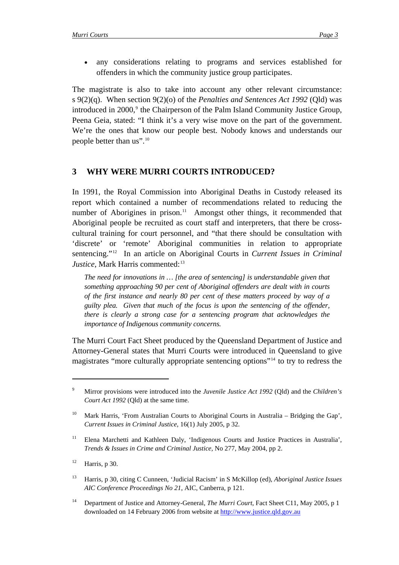<span id="page-6-0"></span>• any considerations relating to programs and services established for offenders in which the community justice group participates.

The magistrate is also to take into account any other relevant circumstance: s 9(2)(q). When section 9(2)(o) of the *Penalties and Sentences Act 1992* (Qld) was introduced in 2000,<sup>[9](#page-6-0)</sup> the Chairperson of the Palm Island Community Justice Group, Peena Geia, stated: "I think it's a very wise move on the part of the government. We're the ones that know our people best. Nobody knows and understands our people better than us".<sup>[10](#page-6-0)</sup>

## **3 WHY WERE MURRI COURTS INTRODUCED?**

In 1991, the Royal Commission into Aboriginal Deaths in Custody released its report which contained a number of recommendations related to reducing the number of Aborigines in prison.<sup>[11](#page-6-0)</sup> Amongst other things, it recommended that Aboriginal people be recruited as court staff and interpreters, that there be crosscultural training for court personnel, and "that there should be consultation with 'discrete' or 'remote' Aboriginal communities in relation to appropriate sentencing."[12](#page-6-0) In an article on Aboriginal Courts in *Current Issues in Criminal Justice*, Mark Harris commented:<sup>[13](#page-6-0)</sup>

*The need for innovations in … [the area of sentencing] is understandable given that something approaching 90 per cent of Aboriginal offenders are dealt with in courts of the first instance and nearly 80 per cent of these matters proceed by way of a guilty plea. Given that much of the focus is upon the sentencing of the offender, there is clearly a strong case for a sentencing program that acknowledges the importance of Indigenous community concerns.* 

The Murri Court Fact Sheet produced by the Queensland Department of Justice and Attorney-General states that Murri Courts were introduced in Queensland to give magistrates "more culturally appropriate sentencing options"[14](#page-6-0) to try to redress the

<sup>9</sup> Mirror provisions were introduced into the *Juvenile Justice Act 1992* (Qld) and the *Children's Court Act 1992* (Qld) at the same time.

Mark Harris, 'From Australian Courts to Aboriginal Courts in Australia – Bridging the Gap', *Current Issues in Criminal Justice*, 16(1) July 2005, p 32.

<sup>&</sup>lt;sup>11</sup> Elena Marchetti and Kathleen Daly, 'Indigenous Courts and Justice Practices in Australia', *Trends & Issues in Crime and Criminal Justice,* No 277, May 2004, pp 2.

 $12$  Harris, p 30.

<sup>13</sup> Harris, p 30, citing C Cunneen, 'Judicial Racism' in S McKillop (ed), *Aboriginal Justice Issues AIC Conference Proceedings No 21*, AIC, Canberra, p 121.

<sup>14</sup> Department of Justice and Attorney-General, *The Murri Court*, Fact Sheet C11, May 2005, p 1 downloaded on 14 February 2006 from website at [http://www.justice.qld.gov.au](http://www.justice.qld.gov.au/)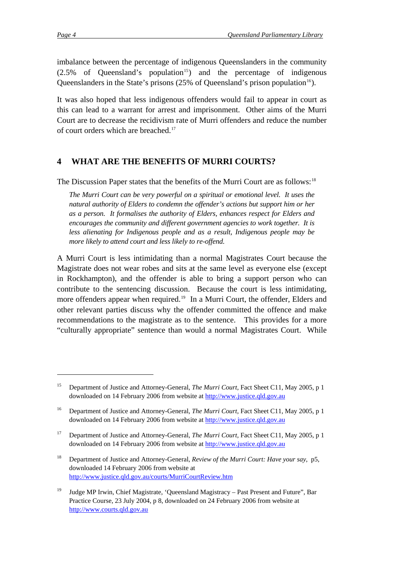1

<span id="page-7-0"></span>imbalance between the percentage of indigenous Queenslanders in the community  $(2.5\% \text{ of}$  Queensland's population<sup>[15](#page-7-0)</sup>) and the percentage of indigenous Queenslanders in the State's prisons  $(25\%$  of Queensland's prison population<sup>[16](#page-7-0)</sup>).

It was also hoped that less indigenous offenders would fail to appear in court as this can lead to a warrant for arrest and imprisonment. Other aims of the Murri Court are to decrease the recidivism rate of Murri offenders and reduce the number of court orders which are breached.[17](#page-7-0)

## **4 WHAT ARE THE BENEFITS OF MURRI COURTS?**

The Discussion Paper states that the benefits of the Murri Court are as follows:<sup>[18](#page-7-0)</sup>

*The Murri Court can be very powerful on a spiritual or emotional level. It uses the natural authority of Elders to condemn the offender's actions but support him or her as a person. It formalises the authority of Elders, enhances respect for Elders and encourages the community and different government agencies to work together. It is less alienating for Indigenous people and as a result, Indigenous people may be more likely to attend court and less likely to re-offend.* 

A Murri Court is less intimidating than a normal Magistrates Court because the Magistrate does not wear robes and sits at the same level as everyone else (except in Rockhampton), and the offender is able to bring a support person who can contribute to the sentencing discussion. Because the court is less intimidating, more offenders appear when required.<sup>[19](#page-7-0)</sup> In a Murri Court, the offender, Elders and other relevant parties discuss why the offender committed the offence and make recommendations to the magistrate as to the sentence. This provides for a more "culturally appropriate" sentence than would a normal Magistrates Court. While

<sup>15</sup> Department of Justice and Attorney-General, *The Murri Court*, Fact Sheet C11, May 2005, p 1 downloaded on 14 February 2006 from website at [http://www.justice.qld.gov.au](http://www.justice.qld.gov.au/)

<sup>16</sup> Department of Justice and Attorney-General, *The Murri Court*, Fact Sheet C11, May 2005, p 1 downloaded on 14 February 2006 from website at [http://www.justice.qld.gov.au](http://www.justice.qld.gov.au/) 

<sup>&</sup>lt;sup>17</sup> Department of Justice and Attorney-General, *The Murri Court*, Fact Sheet C11, May 2005, p 1 downloaded on 14 February 2006 from website at [http://www.justice.qld.gov.au](http://www.justice.qld.gov.au/)

<sup>18</sup> Department of Justice and Attorney-General, *Review of the Murri Court: Have your say*, p5, downloaded 14 February 2006 from website at <http://www.justice.qld.gov.au/courts/MurriCourtReview.htm>

<sup>&</sup>lt;sup>19</sup> Judge MP Irwin, Chief Magistrate, 'Queensland Magistracy – Past Present and Future'', Bar Practice Course, 23 July 2004, p 8, downloaded on 24 February 2006 from website at [http://www.courts.qld.gov.au](http://www.courts.qld.gov.au/)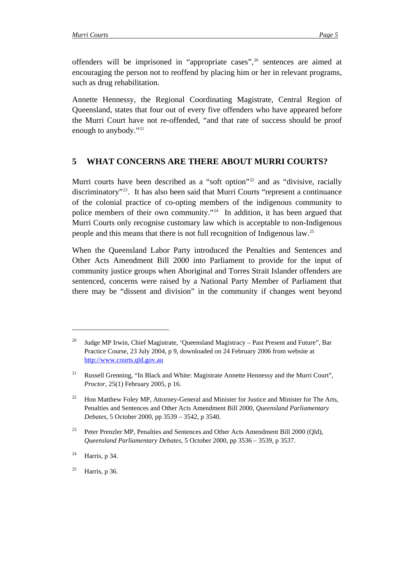<span id="page-8-0"></span>offenders will be imprisoned in "appropriate cases",<sup>[20](#page-8-0)</sup> sentences are aimed at encouraging the person not to reoffend by placing him or her in relevant programs, such as drug rehabilitation.

Annette Hennessy, the Regional Coordinating Magistrate, Central Region of Queensland, states that four out of every five offenders who have appeared before the Murri Court have not re-offended, "and that rate of success should be proof enough to anybody."[21](#page-8-0)

## **5 WHAT CONCERNS ARE THERE ABOUT MURRI COURTS?**

Murri courts have been described as a "soft option"<sup>[22](#page-8-0)</sup> and as "divisive, racially discriminatory"[23](#page-8-0). It has also been said that Murri Courts "represent a continuance of the colonial practice of co-opting members of the indigenous community to police members of their own community."[24](#page-8-0) In addition, it has been argued that Murri Courts only recognise customary law which is acceptable to non-Indigenous people and this means that there is not full recognition of Indigenous law.[25](#page-8-0)

When the Queensland Labor Party introduced the Penalties and Sentences and Other Acts Amendment Bill 2000 into Parliament to provide for the input of community justice groups when Aboriginal and Torres Strait Islander offenders are sentenced, concerns were raised by a National Party Member of Parliament that there may be "dissent and division" in the community if changes went beyond

<sup>24</sup> Harris, p 34.

<sup>&</sup>lt;sup>20</sup> Judge MP Irwin, Chief Magistrate, 'Oueensland Magistracy – Past Present and Future'', Bar Practice Course, 23 July 2004, p 9, downloaded on 24 February 2006 from website at [http://www.courts.qld.gov.au](http://www.courts.qld.gov.au/)

<sup>&</sup>lt;sup>21</sup> Russell Grenning, "In Black and White: Magistrate Annette Hennessy and the Murri Court", *Proctor,* 25(1) February 2005, p 16.

<sup>&</sup>lt;sup>22</sup> Hon Matthew Foley MP, Attorney-General and Minister for Justice and Minister for The Arts, Penalties and Sentences and Other Acts Amendment Bill 2000, *Queensland Parliamentary Debates*, 5 October 2000, pp 3539 – 3542, p 3540.

<sup>&</sup>lt;sup>23</sup> Peter Prenzler MP, Penalties and Sentences and Other Acts Amendment Bill 2000 (Qld), *Queensland Parliamentary Debates*, 5 October 2000, pp 3536 – 3539, p 3537.

<sup>&</sup>lt;sup>25</sup> Harris, p 36.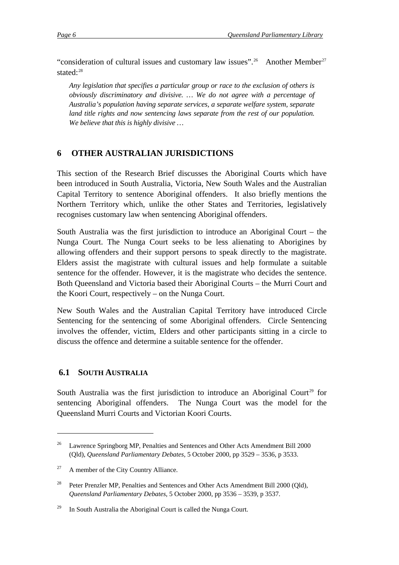<span id="page-9-0"></span>"consideration of cultural issues and customary law issues".<sup>[26](#page-9-0)</sup> Another Member<sup>[27](#page-9-0)</sup> stated:<sup>[28](#page-9-0)</sup>

*Any legislation that specifies a particular group or race to the exclusion of others is obviously discriminatory and divisive. … We do not agree with a percentage of Australia's population having separate services, a separate welfare system, separate land title rights and now sentencing laws separate from the rest of our population. We believe that this is highly divisive …* 

## **6 OTHER AUSTRALIAN JURISDICTIONS**

This section of the Research Brief discusses the Aboriginal Courts which have been introduced in South Australia, Victoria, New South Wales and the Australian Capital Territory to sentence Aboriginal offenders. It also briefly mentions the Northern Territory which, unlike the other States and Territories, legislatively recognises customary law when sentencing Aboriginal offenders.

South Australia was the first jurisdiction to introduce an Aboriginal Court – the Nunga Court. The Nunga Court seeks to be less alienating to Aborigines by allowing offenders and their support persons to speak directly to the magistrate. Elders assist the magistrate with cultural issues and help formulate a suitable sentence for the offender. However, it is the magistrate who decides the sentence. Both Queensland and Victoria based their Aboriginal Courts – the Murri Court and the Koori Court, respectively – on the Nunga Court.

New South Wales and the Australian Capital Territory have introduced Circle Sentencing for the sentencing of some Aboriginal offenders. Circle Sentencing involves the offender, victim, Elders and other participants sitting in a circle to discuss the offence and determine a suitable sentence for the offender.

#### **6.1 SOUTH AUSTRALIA**

1

South Australia was the first jurisdiction to introduce an Aboriginal Court<sup>[29](#page-9-0)</sup> for sentencing Aboriginal offenders. The Nunga Court was the model for the Queensland Murri Courts and Victorian Koori Courts.

<sup>&</sup>lt;sup>26</sup> Lawrence Springborg MP, Penalties and Sentences and Other Acts Amendment Bill 2000 (Qld), *Queensland Parliamentary Debates*, 5 October 2000, pp 3529 – 3536, p 3533.

 $27$  A member of the City Country Alliance.

<sup>&</sup>lt;sup>28</sup> Peter Prenzler MP, Penalties and Sentences and Other Acts Amendment Bill 2000 (Qld), *Queensland Parliamentary Debates*, 5 October 2000, pp 3536 – 3539, p 3537.

<sup>&</sup>lt;sup>29</sup> In South Australia the Aboriginal Court is called the Nunga Court.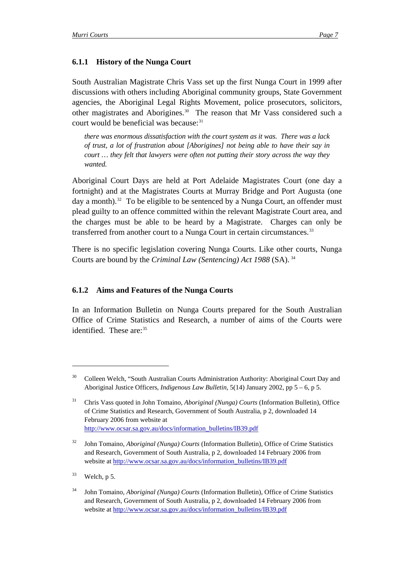## <span id="page-10-0"></span>**6.1.1 History of the Nunga Court**

South Australian Magistrate Chris Vass set up the first Nunga Court in 1999 after discussions with others including Aboriginal community groups, State Government agencies, the Aboriginal Legal Rights Movement, police prosecutors, solicitors, other magistrates and Aborigines.[30](#page-10-0) The reason that Mr Vass considered such a court would be beneficial was because: $31$ 

*there was enormous dissatisfaction with the court system as it was. There was a lack of trust, a lot of frustration about [Aborigines] not being able to have their say in court … they felt that lawyers were often not putting their story across the way they wanted.* 

Aboriginal Court Days are held at Port Adelaide Magistrates Court (one day a fortnight) and at the Magistrates Courts at Murray Bridge and Port Augusta (one day a month).<sup>[32](#page-10-0)</sup> To be eligible to be sentenced by a Nunga Court, an offender must plead guilty to an offence committed within the relevant Magistrate Court area, and the charges must be able to be heard by a Magistrate. Charges can only be transferred from another court to a Nunga Court in certain circumstances.<sup>[33](#page-10-0)</sup>

There is no specific legislation covering Nunga Courts. Like other courts, Nunga Courts are bound by the *Criminal Law (Sentencing) Act 1988* (SA). [34](#page-10-0)

#### **6.1.2 Aims and Features of the Nunga Courts**

In an Information Bulletin on Nunga Courts prepared for the South Australian Office of Crime Statistics and Research, a number of aims of the Courts were identified. These are:<sup>[35](#page-10-0)</sup>

 $33$  Welch, p 5.

<sup>30</sup> Colleen Welch, "South Australian Courts Administration Authority: Aboriginal Court Day and Aboriginal Justice Officers, *Indigenous Law Bulletin*, 5(14) January 2002, pp 5 – 6, p 5.

<sup>31</sup> Chris Vass quoted in John Tomaino, *Aboriginal (Nunga) Courts* (Information Bulletin), Office of Crime Statistics and Research, Government of South Australia, p 2, downloaded 14 February 2006 from website at [http://www.ocsar.sa.gov.au/docs/information\\_bulletins/IB39.pdf](http://www.ocsar.sa.gov.au/docs/information_bulletins/IB39.pdf)

<sup>32</sup> John Tomaino, *Aboriginal (Nunga) Courts* (Information Bulletin), Office of Crime Statistics and Research, Government of South Australia, p 2, downloaded 14 February 2006 from website at [http://www.ocsar.sa.gov.au/docs/information\\_bulletins/IB39.pdf](http://www.ocsar.sa.gov.au/docs/information_bulletins/IB39.pdf)

<sup>34</sup> John Tomaino, *Aboriginal (Nunga) Courts* (Information Bulletin), Office of Crime Statistics and Research, Government of South Australia, p 2, downloaded 14 February 2006 from website at [http://www.ocsar.sa.gov.au/docs/information\\_bulletins/IB39.pdf](http://www.ocsar.sa.gov.au/docs/information_bulletins/IB39.pdf)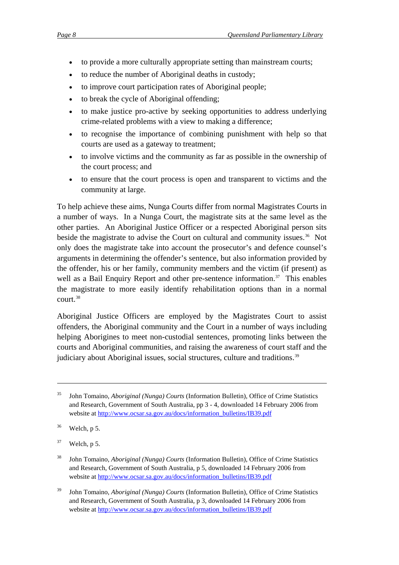- <span id="page-11-0"></span>
	- to provide a more culturally appropriate setting than mainstream courts;
	- to reduce the number of Aboriginal deaths in custody;
	- to improve court participation rates of Aboriginal people;
	- to break the cycle of Aboriginal offending;
	- to make justice pro-active by seeking opportunities to address underlying crime-related problems with a view to making a difference;
	- to recognise the importance of combining punishment with help so that courts are used as a gateway to treatment;
	- to involve victims and the community as far as possible in the ownership of the court process; and
	- to ensure that the court process is open and transparent to victims and the community at large.

To help achieve these aims, Nunga Courts differ from normal Magistrates Courts in a number of ways. In a Nunga Court, the magistrate sits at the same level as the other parties. An Aboriginal Justice Officer or a respected Aboriginal person sits beside the magistrate to advise the Court on cultural and community issues.<sup>[36](#page-11-0)</sup> Not only does the magistrate take into account the prosecutor's and defence counsel's arguments in determining the offender's sentence, but also information provided by the offender, his or her family, community members and the victim (if present) as well as a Bail Enquiry Report and other pre-sentence information.<sup>[37](#page-11-0)</sup> This enables the magistrate to more easily identify rehabilitation options than in a normal court.[38](#page-11-0)

Aboriginal Justice Officers are employed by the Magistrates Court to assist offenders, the Aboriginal community and the Court in a number of ways including helping Aborigines to meet non-custodial sentences, promoting links between the courts and Aboriginal communities, and raising the awareness of court staff and the judiciary about Aboriginal issues, social structures, culture and traditions.<sup>[39](#page-11-0)</sup>

<u>.</u>

39 John Tomaino, *Aboriginal (Nunga) Courts* (Information Bulletin), Office of Crime Statistics and Research, Government of South Australia, p 3, downloaded 14 February 2006 from website at [http://www.ocsar.sa.gov.au/docs/information\\_bulletins/IB39.pdf](http://www.ocsar.sa.gov.au/docs/information_bulletins/IB39.pdf)

<sup>35</sup> John Tomaino, *Aboriginal (Nunga) Courts* (Information Bulletin), Office of Crime Statistics and Research, Government of South Australia, pp 3 - 4, downloaded 14 February 2006 from website at [http://www.ocsar.sa.gov.au/docs/information\\_bulletins/IB39.pdf](http://www.ocsar.sa.gov.au/docs/information_bulletins/IB39.pdf)

 $36$  Welch, p 5.

 $37$  Welch, p 5.

<sup>38</sup> John Tomaino, *Aboriginal (Nunga) Courts* (Information Bulletin), Office of Crime Statistics and Research, Government of South Australia, p 5, downloaded 14 February 2006 from website at [http://www.ocsar.sa.gov.au/docs/information\\_bulletins/IB39.pdf](http://www.ocsar.sa.gov.au/docs/information_bulletins/IB39.pdf)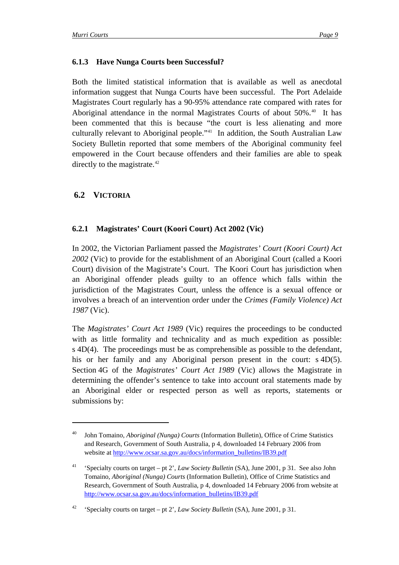#### <span id="page-12-0"></span>**6.1.3 Have Nunga Courts been Successful?**

Both the limited statistical information that is available as well as anecdotal information suggest that Nunga Courts have been successful. The Port Adelaide Magistrates Court regularly has a 90-95% attendance rate compared with rates for Aboriginal attendance in the normal Magistrates Courts of about 50%.<sup>[40](#page-12-0)</sup> It has been commented that this is because "the court is less alienating and more culturally relevant to Aboriginal people."[41](#page-12-0) In addition, the South Australian Law Society Bulletin reported that some members of the Aboriginal community feel empowered in the Court because offenders and their families are able to speak directly to the magistrate.<sup>[42](#page-12-0)</sup>

## **6.2 VICTORIA**

 $\overline{a}$ 

#### **6.2.1 Magistrates' Court (Koori Court) Act 2002 (Vic)**

In 2002, the Victorian Parliament passed the *Magistrates' Court (Koori Court) Act 2002* (Vic) to provide for the establishment of an Aboriginal Court (called a Koori Court) division of the Magistrate's Court. The Koori Court has jurisdiction when an Aboriginal offender pleads guilty to an offence which falls within the jurisdiction of the Magistrates Court, unless the offence is a sexual offence or involves a breach of an intervention order under the *Crimes (Family Violence) Act 1987* (Vic).

The *Magistrates' Court Act 1989* (Vic) requires the proceedings to be conducted with as little formality and technicality and as much expedition as possible: s 4D(4). The proceedings must be as comprehensible as possible to the defendant, his or her family and any Aboriginal person present in the court: s 4D(5). Section 4G of the *Magistrates' Court Act 1989* (Vic) allows the Magistrate in determining the offender's sentence to take into account oral statements made by an Aboriginal elder or respected person as well as reports, statements or submissions by:

<sup>40</sup> John Tomaino, *Aboriginal (Nunga) Courts* (Information Bulletin), Office of Crime Statistics and Research, Government of South Australia, p 4, downloaded 14 February 2006 from website at [http://www.ocsar.sa.gov.au/docs/information\\_bulletins/IB39.pdf](http://www.ocsar.sa.gov.au/docs/information_bulletins/IB39.pdf)

<sup>41 &#</sup>x27;Specialty courts on target – pt 2', *Law Society Bulletin* (SA), June 2001, p 31. See also John Tomaino, *Aboriginal (Nunga) Courts* (Information Bulletin), Office of Crime Statistics and Research, Government of South Australia, p 4, downloaded 14 February 2006 from website at [http://www.ocsar.sa.gov.au/docs/information\\_bulletins/IB39.pdf](http://www.ocsar.sa.gov.au/docs/information_bulletins/IB39.pdf)

<sup>42 &#</sup>x27;Specialty courts on target – pt 2', *Law Society Bulletin* (SA), June 2001, p 31.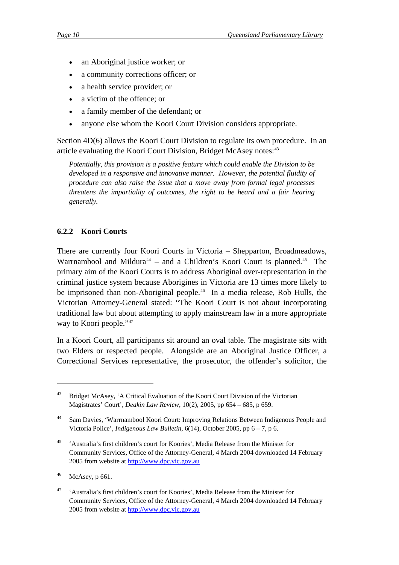- <span id="page-13-0"></span>an Aboriginal justice worker; or
- a community corrections officer; or
- a health service provider; or
- a victim of the offence; or
- a family member of the defendant; or
- anyone else whom the Koori Court Division considers appropriate.

Section 4D(6) allows the Koori Court Division to regulate its own procedure. In an article evaluating the Koori Court Division, Bridget McAsey notes:<sup>[43](#page-13-0)</sup>

*Potentially, this provision is a positive feature which could enable the Division to be developed in a responsive and innovative manner. However, the potential fluidity of procedure can also raise the issue that a move away from formal legal processes threatens the impartiality of outcomes, the right to be heard and a fair hearing generally.* 

## **6.2.2 Koori Courts**

There are currently four Koori Courts in Victoria – Shepparton, Broadmeadows, Warrnambool and Mildura<sup>[44](#page-13-0)</sup> – and a Children's Koori Court is planned.<sup>[45](#page-13-0)</sup> The primary aim of the Koori Courts is to address Aboriginal over-representation in the criminal justice system because Aborigines in Victoria are 13 times more likely to be imprisoned than non-Aboriginal people.<sup>[46](#page-13-0)</sup> In a media release, Rob Hulls, the Victorian Attorney-General stated: "The Koori Court is not about incorporating traditional law but about attempting to apply mainstream law in a more appropriate way to Koori people."<sup>[47](#page-13-0)</sup>

In a Koori Court, all participants sit around an oval table. The magistrate sits with two Elders or respected people. Alongside are an Aboriginal Justice Officer, a Correctional Services representative, the prosecutor, the offender's solicitor, the

<u>.</u>

<sup>43</sup> Bridget McAsey, 'A Critical Evaluation of the Koori Court Division of the Victorian Magistrates' Court', *Deakin Law Review*, 10(2), 2005, pp 654 – 685, p 659.

<sup>44</sup> Sam Davies, 'Warrnambool Koori Court: Improving Relations Between Indigenous People and Victoria Police', *Indigenous Law Bulletin*, 6(14), October 2005, pp 6 – 7, p 6.

<sup>45 &#</sup>x27;Australia's first children's court for Koories', Media Release from the Minister for Community Services, Office of the Attorney-General, 4 March 2004 downloaded 14 February 2005 from website at [http://www.dpc.vic.gov.au](http://www.dpc.vic.gov.au/)

 $46$  McAsey, p 661.

<sup>47 &#</sup>x27;Australia's first children's court for Koories', Media Release from the Minister for Community Services, Office of the Attorney-General, 4 March 2004 downloaded 14 February 2005 from website at [http://www.dpc.vic.gov.au](http://www.dpc.vic.gov.au/)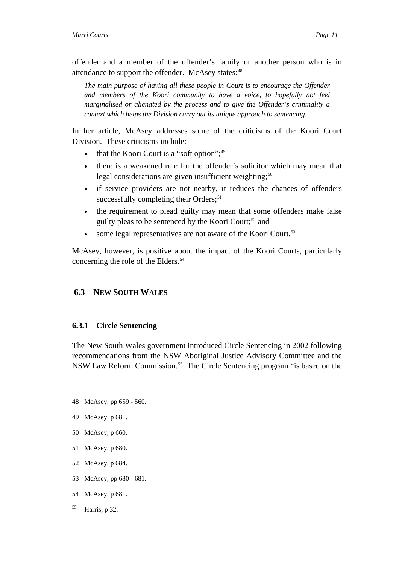<span id="page-14-0"></span>offender and a member of the offender's family or another person who is in attendance to support the offender. McAsey states:<sup>[48](#page-14-0)</sup>

*The main purpose of having all these people in Court is to encourage the Offender and members of the Koori community to have a voice, to hopefully not feel marginalised or alienated by the process and to give the Offender's criminality a context which helps the Division carry out its unique approach to sentencing*.

In her article, McAsey addresses some of the criticisms of the Koori Court Division. These criticisms include:

- that the Koori Court is a "soft option";<sup>[49](#page-14-0)</sup>
- there is a weakened role for the offender's solicitor which may mean that legal considerations are given insufficient weighting; $50$
- if service providers are not nearby, it reduces the chances of offenders successfully completing their Orders; $51$
- the requirement to plead guilty may mean that some offenders make false guilty pleas to be sentenced by the Koori Court; $52$  and
- some legal representatives are not aware of the Koori Court.<sup>[53](#page-14-0)</sup>

McAsey, however, is positive about the impact of the Koori Courts, particularly concerning the role of the Elders.<sup>[54](#page-14-0)</sup>

#### **6.3 NEW SOUTH WALES**

#### **6.3.1 Circle Sentencing**

The New South Wales government introduced Circle Sentencing in 2002 following recommendations from the NSW Aboriginal Justice Advisory Committee and the NSW Law Reform Commission.[55](#page-14-0) The Circle Sentencing program "is based on the

- 50 McAsey, p 660.
- 51 McAsey, p 680.
- 52 McAsey, p 684.
- 53 McAsey, pp 680 681.
- 54 McAsey, p 681.
- $<sup>55</sup>$  Harris, p 32.</sup>

<sup>48</sup> McAsey, pp 659 - 560.

<sup>49</sup> McAsey, p 681.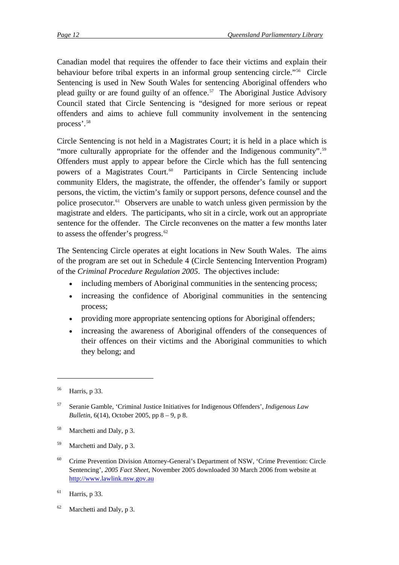<span id="page-15-0"></span>Canadian model that requires the offender to face their victims and explain their behaviour before tribal experts in an informal group sentencing circle."[56](#page-15-0) Circle Sentencing is used in New South Wales for sentencing Aboriginal offenders who plead guilty or are found guilty of an offence.<sup>[57](#page-15-0)</sup> The Aboriginal Justice Advisory Council stated that Circle Sentencing is "designed for more serious or repeat offenders and aims to achieve full community involvement in the sentencing process'.[58](#page-15-0)

Circle Sentencing is not held in a Magistrates Court; it is held in a place which is "more culturally appropriate for the offender and the Indigenous community".<sup>[59](#page-15-0)</sup> Offenders must apply to appear before the Circle which has the full sentencing powers of a Magistrates Court.<sup>[60](#page-15-0)</sup> Participants in Circle Sentencing include community Elders, the magistrate, the offender, the offender's family or support persons, the victim, the victim's family or support persons, defence counsel and the police prosecutor.[61](#page-15-0) Observers are unable to watch unless given permission by the magistrate and elders. The participants, who sit in a circle, work out an appropriate sentence for the offender. The Circle reconvenes on the matter a few months later to assess the offender's progress. $62$ 

The Sentencing Circle operates at eight locations in New South Wales. The aims of the program are set out in Schedule 4 (Circle Sentencing Intervention Program) of the *Criminal Procedure Regulation 2005*. The objectives include:

- including members of Aboriginal communities in the sentencing process;
- increasing the confidence of Aboriginal communities in the sentencing process;
- providing more appropriate sentencing options for Aboriginal offenders;
- increasing the awareness of Aboriginal offenders of the consequences of their offences on their victims and the Aboriginal communities to which they belong; and

<u>.</u>

- 58 Marchetti and Daly, p 3.
- 59 Marchetti and Daly, p 3.
- <sup>60</sup> Crime Prevention Division Attorney-General's Department of NSW, 'Crime Prevention: Circle Sentencing', *2005 Fact Sheet*, November 2005 downloaded 30 March 2006 from website at [http://www.lawlink.nsw.gov.au](http://www.lawlink.nsw.gov.au/)
- $^{61}$  Harris, p 33.
- $62$  Marchetti and Daly, p 3.

<sup>56</sup> Harris, p 33.

<sup>57</sup> Seranie Gamble, 'Criminal Justice Initiatives for Indigenous Offenders', *Indigenous Law Bulletin*, 6(14), October 2005, pp 8 – 9, p 8.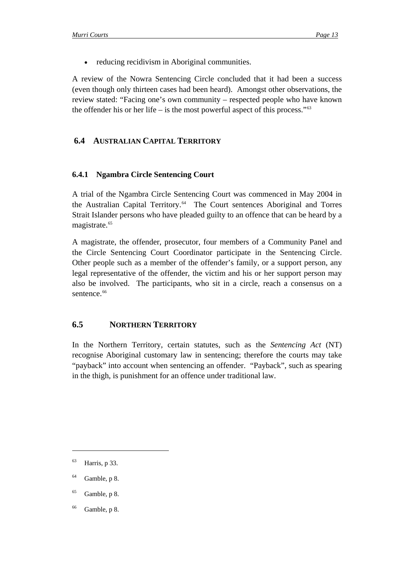<span id="page-16-0"></span>reducing recidivism in Aboriginal communities.

A review of the Nowra Sentencing Circle concluded that it had been a success (even though only thirteen cases had been heard). Amongst other observations, the review stated: "Facing one's own community – respected people who have known the offender his or her life – is the most powerful aspect of this process." $63$ 

## **6.4 AUSTRALIAN CAPITAL TERRITORY**

## **6.4.1 Ngambra Circle Sentencing Court**

A trial of the Ngambra Circle Sentencing Court was commenced in May 2004 in the Australian Capital Territory.<sup>[64](#page-16-0)</sup> The Court sentences Aboriginal and Torres Strait Islander persons who have pleaded guilty to an offence that can be heard by a magistrate.<sup>[65](#page-16-0)</sup>

A magistrate, the offender, prosecutor, four members of a Community Panel and the Circle Sentencing Court Coordinator participate in the Sentencing Circle. Other people such as a member of the offender's family, or a support person, any legal representative of the offender, the victim and his or her support person may also be involved. The participants, who sit in a circle, reach a consensus on a sentence.<sup>[66](#page-16-0)</sup>

## **6.5 NORTHERN TERRITORY**

In the Northern Territory, certain statutes, such as the *Sentencing Act* (NT) recognise Aboriginal customary law in sentencing; therefore the courts may take "payback" into account when sentencing an offender. "Payback", such as spearing in the thigh, is punishment for an offence under traditional law.

 $^{63}$  Harris, p 33.

 $64$  Gamble, p 8.

 $65$  Gamble, p 8.

 $66$  Gamble, p 8.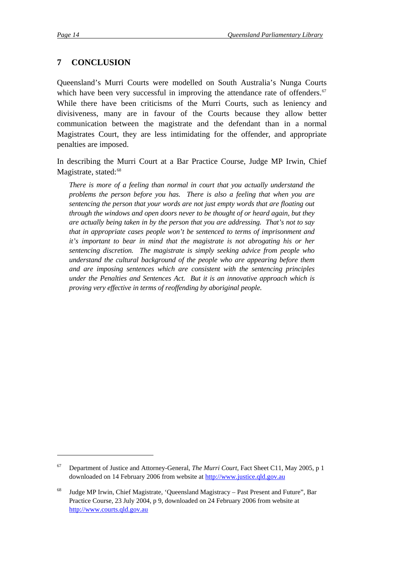1

## <span id="page-17-0"></span>**7 CONCLUSION**

Queensland's Murri Courts were modelled on South Australia's Nunga Courts which have been very successful in improving the attendance rate of offenders. $67$ While there have been criticisms of the Murri Courts, such as leniency and divisiveness, many are in favour of the Courts because they allow better communication between the magistrate and the defendant than in a normal Magistrates Court, they are less intimidating for the offender, and appropriate penalties are imposed.

In describing the Murri Court at a Bar Practice Course, Judge MP Irwin, Chief Magistrate, stated:<sup>[68](#page-17-0)</sup>

*There is more of a feeling than normal in court that you actually understand the problems the person before you has. There is also a feeling that when you are sentencing the person that your words are not just empty words that are floating out through the windows and open doors never to be thought of or heard again, but they are actually being taken in by the person that you are addressing. That's not to say that in appropriate cases people won't be sentenced to terms of imprisonment and it's important to bear in mind that the magistrate is not abrogating his or her sentencing discretion. The magistrate is simply seeking advice from people who understand the cultural background of the people who are appearing before them and are imposing sentences which are consistent with the sentencing principles under the Penalties and Sentences Act. But it is an innovative approach which is proving very effective in terms of reoffending by aboriginal people.* 

<sup>67</sup> Department of Justice and Attorney-General, *The Murri Court*, Fact Sheet C11, May 2005, p 1 downloaded on 14 February 2006 from website at [http://www.justice.qld.gov.au](http://www.justice.qld.gov.au/)

<sup>68</sup> Judge MP Irwin, Chief Magistrate, 'Queensland Magistracy – Past Present and Future", Bar Practice Course, 23 July 2004, p 9, downloaded on 24 February 2006 from website at [http://www.courts.qld.gov.au](http://www.courts.qld.gov.au/)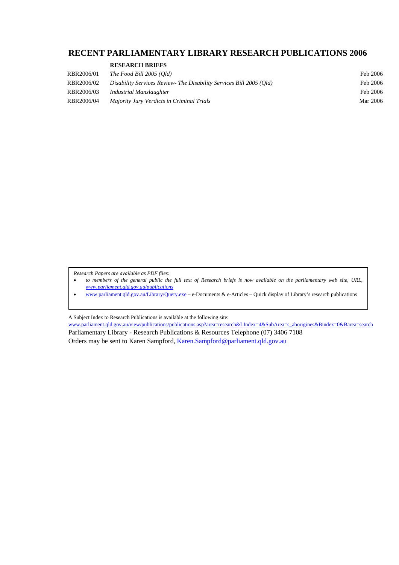#### <span id="page-18-0"></span>**RECENT PARLIAMENTARY LIBRARY RESEARCH PUBLICATIONS 2006**

|  |  | <b>RESEARCH BRIEFS</b> |
|--|--|------------------------|
|--|--|------------------------|

| RBR2006/01 | The Food Bill 2005 (Old)                                            | Feb 2006 |
|------------|---------------------------------------------------------------------|----------|
| RBR2006/02 | Disability Services Review- The Disability Services Bill 2005 (Old) | Feb 2006 |
| RBR2006/03 | Industrial Manslaughter                                             | Feb 2006 |
| RBR2006/04 | Majority Jury Verdicts in Criminal Trials                           | Mar 2006 |

*Research Papers are available as PDF files:* 

- *to members of the general public the full text of Research briefs is now available on the parliamentary web site, URL, [www.parliament.qld.gov.au/publications](http://www.parliament.qld.gov.au/publications)*
- [www.parliament.qld.gov.au/Library/Query.exe](http://www.parliament.qld.gov.au/Library/Query.exe) e-Documents & e-Articles Quick display of Library's research publications

A Subject Index to Research Publications is available at the following site:

www.parliament.qld.gov.au/view/publications/publications.asp?area=research&LIndex=4&SubArea=s\_aborigines&Bindex=0&Barea=search Parliamentary Library - Research Publications & Resources Telephone (07) 3406 7108 Orders may be sent to Karen Sampford, [Karen.Sampford@parliament.qld.gov.au](mailto:Karen.Sampford@parliament.qld.gov.au)